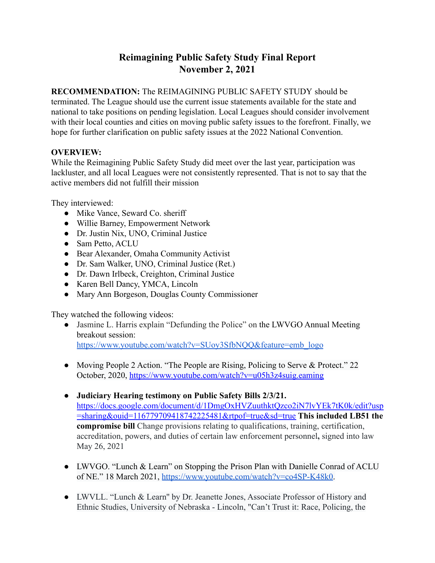# **Reimagining Public Safety Study Final Report November 2, 2021**

**RECOMMENDATION:** The REIMAGINING PUBLIC SAFETY STUDY should be terminated. The League should use the current issue statements available for the state and national to take positions on pending legislation. Local Leagues should consider involvement with their local counties and cities on moving public safety issues to the forefront. Finally, we hope for further clarification on public safety issues at the 2022 National Convention.

### **OVERVIEW:**

While the Reimagining Public Safety Study did meet over the last year, participation was lackluster, and all local Leagues were not consistently represented. That is not to say that the active members did not fulfill their mission

They interviewed:

- Mike Vance, Seward Co. sheriff
- Willie Barney, Empowerment Network
- Dr. Justin Nix, UNO, Criminal Justice
- Sam Petto, ACLU
- Bear Alexander, Omaha Community Activist
- Dr. Sam Walker, UNO, Criminal Justice (Ret.)
- Dr. Dawn Irlbeck, Creighton, Criminal Justice
- Karen Bell Dancy, YMCA, Lincoln
- Mary Ann Borgeson, Douglas County Commissioner

They watched the following videos:

- Jasmine L. Harris explain "Defunding the Police" on the LWVGO Annual Meeting breakout session: [https://www.youtube.com/watch?v=SUoy3SfbNQQ&feature=emb\\_logo](https://www.youtube.com/watch?v=SUoy3SfbNQQ&feature=emb_logo)
- Moving People 2 Action. "The People are Rising, Policing to Serve & Protect." 22 October, 2020, <https://www.youtube.com/watch?v=u05h3z4suig.eaming>
- **Judiciary Hearing testimony on Public Safety Bills 2/3/21.** [https://docs.google.com/document/d/1DmgOxHVZuuthktQzco2iN7lvYEk7tK0k/edit?usp](https://docs.google.com/document/d/1DmgOxHVZuuthktQzco2iN7lvYEk7tK0k/edit?usp=sharing&ouid=116779709418742225481&rtpof=true&sd=true) [=sharing&ouid=116779709418742225481&rtpof=true&sd=true](https://docs.google.com/document/d/1DmgOxHVZuuthktQzco2iN7lvYEk7tK0k/edit?usp=sharing&ouid=116779709418742225481&rtpof=true&sd=true) **This included LB51 the compromise bill** Change provisions relating to qualifications, training, certification, accreditation, powers, and duties of certain law enforcement personnel**,** signed into law May 26, 2021
- LWVGO. "Lunch & Learn" on Stopping the Prison Plan with Danielle Conrad of ACLU of NE." 18 March 2021, [https://www.youtube.com/watch?v=co4SP-K48k0.](https://www.youtube.com/watch?v=co4SP-K48k0)
- LWVLL. "Lunch & Learn'' by Dr. Jeanette Jones, Associate Professor of History and Ethnic Studies, University of Nebraska - Lincoln, "Can't Trust it: Race, Policing, the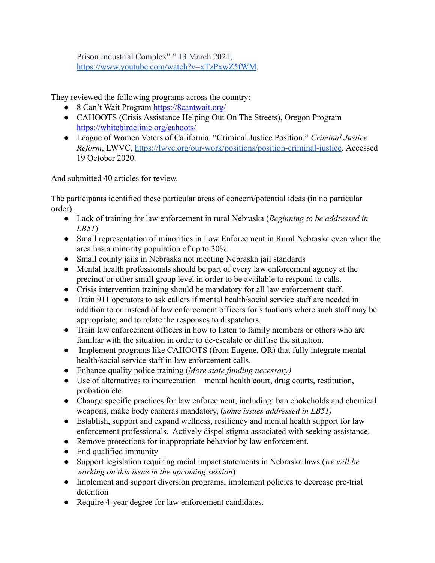Prison Industrial Complex"." 13 March 2021, <https://www.youtube.com/watch?v=xTzPxwZ5fWM>.

They reviewed the following programs across the country:

- 8 Can't Wait Program <https://8cantwait.org/>
- CAHOOTS (Crisis Assistance Helping Out On The Streets), Oregon Program <https://whitebirdclinic.org/cahoots/>
- League of Women Voters of California. "Criminal Justice Position." *Criminal Justice Reform*, LWVC, [https://lwvc.org/our-work/positions/position-criminal-justice.](https://lwvc.org/our-work/positions/position-criminal-justice) Accessed 19 October 2020.

And submitted 40 articles for review.

The participants identified these particular areas of concern/potential ideas (in no particular order):

- Lack of training for law enforcement in rural Nebraska (*Beginning to be addressed in LB51*)
- Small representation of minorities in Law Enforcement in Rural Nebraska even when the area has a minority population of up to 30%.
- Small county jails in Nebraska not meeting Nebraska jail standards
- Mental health professionals should be part of every law enforcement agency at the precinct or other small group level in order to be available to respond to calls.
- Crisis intervention training should be mandatory for all law enforcement staff.
- Train 911 operators to ask callers if mental health/social service staff are needed in addition to or instead of law enforcement officers for situations where such staff may be appropriate, and to relate the responses to dispatchers.
- Train law enforcement officers in how to listen to family members or others who are familiar with the situation in order to de-escalate or diffuse the situation.
- Implement programs like CAHOOTS (from Eugene, OR) that fully integrate mental health/social service staff in law enforcement calls.
- Enhance quality police training (*More state funding necessary)*
- Use of alternatives to incarceration mental health court, drug courts, restitution, probation etc.
- Change specific practices for law enforcement, including: ban chokeholds and chemical weapons, make body cameras mandatory, (*some issues addressed in LB51)*
- Establish, support and expand wellness, resiliency and mental health support for law enforcement professionals. Actively dispel stigma associated with seeking assistance.
- Remove protections for inappropriate behavior by law enforcement.
- End qualified immunity
- Support legislation requiring racial impact statements in Nebraska laws (*we will be working on this issue in the upcoming session*)
- Implement and support diversion programs, implement policies to decrease pre-trial detention
- Require 4-year degree for law enforcement candidates.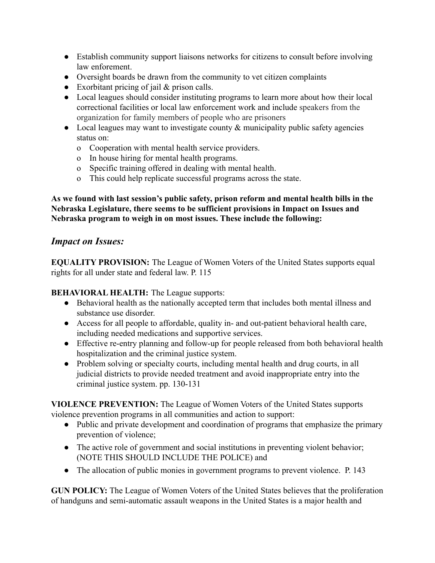- Establish community support liaisons networks for citizens to consult before involving law enforement.
- Oversight boards be drawn from the community to vet citizen complaints
- $\bullet$  Exorbitant pricing of jail & prison calls.
- Local leagues should consider instituting programs to learn more about how their local correctional facilities or local law enforcement work and include speakers from the organization for family members of people who are prisoners
- Local leagues may want to investigate county & municipality public safety agencies status on:
	- o Cooperation with mental health service providers.
	- o In house hiring for mental health programs.
	- o Specific training offered in dealing with mental health.
	- o This could help replicate successful programs across the state.

**As we found with last session's public safety, prison reform and mental health bills in the Nebraska Legislature, there seems to be sufficient provisions in Impact on Issues and Nebraska program to weigh in on most issues. These include the following:**

# *Impact on Issues:*

**EQUALITY PROVISION:** The League of Women Voters of the United States supports equal rights for all under state and federal law. P. 115

**BEHAVIORAL HEALTH:** The League supports:

- Behavioral health as the nationally accepted term that includes both mental illness and substance use disorder.
- Access for all people to affordable, quality in- and out-patient behavioral health care, including needed medications and supportive services.
- Effective re-entry planning and follow-up for people released from both behavioral health hospitalization and the criminal justice system.
- Problem solving or specialty courts, including mental health and drug courts, in all judicial districts to provide needed treatment and avoid inappropriate entry into the criminal justice system. pp. 130-131

**VIOLENCE PREVENTION:** The League of Women Voters of the United States supports violence prevention programs in all communities and action to support:

- Public and private development and coordination of programs that emphasize the primary prevention of violence;
- The active role of government and social institutions in preventing violent behavior; (NOTE THIS SHOULD INCLUDE THE POLICE) and
- The allocation of public monies in government programs to prevent violence. P. 143

**GUN POLICY:** The League of Women Voters of the United States believes that the proliferation of handguns and semi-automatic assault weapons in the United States is a major health and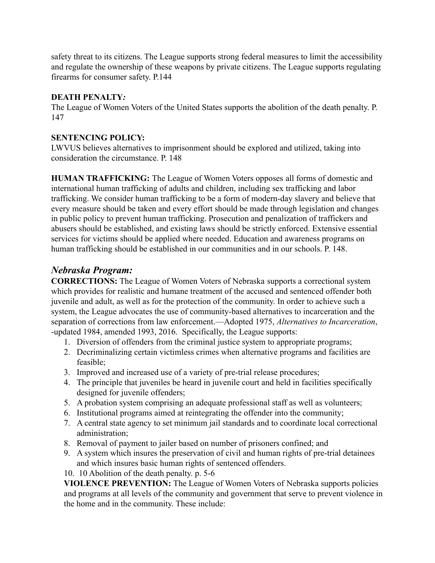safety threat to its citizens. The League supports strong federal measures to limit the accessibility and regulate the ownership of these weapons by private citizens. The League supports regulating firearms for consumer safety. P.144

#### **DEATH PENALTY***:*

The League of Women Voters of the United States supports the abolition of the death penalty. P. 147

### **SENTENCING POLICY:**

LWVUS believes alternatives to imprisonment should be explored and utilized, taking into consideration the circumstance. P. 148

**HUMAN TRAFFICKING:** The League of Women Voters opposes all forms of domestic and international human trafficking of adults and children, including sex trafficking and labor trafficking. We consider human trafficking to be a form of modern-day slavery and believe that every measure should be taken and every effort should be made through legislation and changes in public policy to prevent human trafficking. Prosecution and penalization of traffickers and abusers should be established, and existing laws should be strictly enforced. Extensive essential services for victims should be applied where needed. Education and awareness programs on human trafficking should be established in our communities and in our schools. P. 148.

# *Nebraska Program:*

**CORRECTIONS:** The League of Women Voters of Nebraska supports a correctional system which provides for realistic and humane treatment of the accused and sentenced offender both juvenile and adult, as well as for the protection of the community. In order to achieve such a system, the League advocates the use of community-based alternatives to incarceration and the separation of corrections from law enforcement.—Adopted 1975, *Alternatives to Incarceration*, -updated 1984, amended 1993, 2016. Specifically, the League supports:

- 1. Diversion of offenders from the criminal justice system to appropriate programs;
- 2. Decriminalizing certain victimless crimes when alternative programs and facilities are feasible;
- 3. Improved and increased use of a variety of pre-trial release procedures;
- 4. The principle that juveniles be heard in juvenile court and held in facilities specifically designed for juvenile offenders;
- 5. A probation system comprising an adequate professional staff as well as volunteers;
- 6. Institutional programs aimed at reintegrating the offender into the community;
- 7. A central state agency to set minimum jail standards and to coordinate local correctional administration;
- 8. Removal of payment to jailer based on number of prisoners confined; and
- 9. A system which insures the preservation of civil and human rights of pre-trial detainees and which insures basic human rights of sentenced offenders.
- 10. 10 Abolition of the death penalty. p. 5-6

**VIOLENCE PREVENTION:** The League of Women Voters of Nebraska supports policies and programs at all levels of the community and government that serve to prevent violence in the home and in the community. These include: